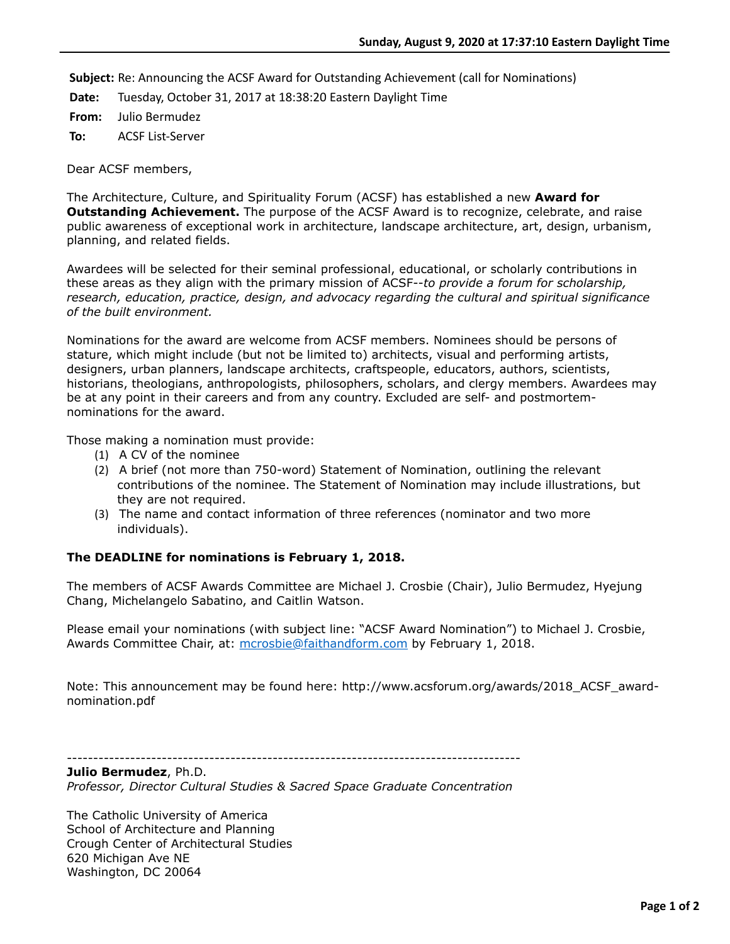**Subject:** Re: Announcing the ACSF Award for Outstanding Achievement (call for Nominations)

**Date:** Tuesday, October 31, 2017 at 18:38:20 Eastern Daylight Time

**From:** Julio Bermudez

**To:** ACSF List-Server

Dear ACSF members,

The Architecture, Culture, and Spirituality Forum (ACSF) has established a new **Award for Outstanding Achievement.** The purpose of the ACSF Award is to recognize, celebrate, and raise public awareness of exceptional work in architecture, landscape architecture, art, design, urbanism, planning, and related fields.

Awardees will be selected for their seminal professional, educational, or scholarly contributions in these areas as they align with the primary mission of ACSF--*to provide a forum for scholarship, research, education, practice, design, and advocacy regarding the cultural and spiritual significance of the built environment.*

Nominations for the award are welcome from ACSF members. Nominees should be persons of stature, which might include (but not be limited to) architects, visual and performing artists, designers, urban planners, landscape architects, craftspeople, educators, authors, scientists, historians, theologians, anthropologists, philosophers, scholars, and clergy members. Awardees may be at any point in their careers and from any country. Excluded are self- and postmortemnominations for the award.

Those making a nomination must provide:

- (1) A CV of the nominee
- (2) A brief (not more than 750-word) Statement of Nomination, outlining the relevant contributions of the nominee. The Statement of Nomination may include illustrations, but they are not required.
- (3) The name and contact information of three references (nominator and two more individuals).

## **The DEADLINE for nominations is February 1, 2018.**

The members of ACSF Awards Committee are Michael J. Crosbie (Chair), Julio Bermudez, Hyejung Chang, Michelangelo Sabatino, and Caitlin Watson.

Please email your nominations (with subject line: "ACSF Award Nomination") to Michael J. Crosbie, Awards Committee Chair, at: [mcrosbie@faithandform.com](mailto:mcrosbie@faithandform.com) by February 1, 2018.

Note: This announcement may be found here: http://www.acsforum.org/awards/2018\_ACSF\_awardnomination.pdf

--------------------------------------------------------------------------------------

**Julio Bermudez**, Ph.D. *Professor, Director Cultural Studies & Sacred Space Graduate Concentration*

The Catholic University of America School of Architecture and Planning Crough Center of Architectural Studies 620 Michigan Ave NE Washington, DC 20064